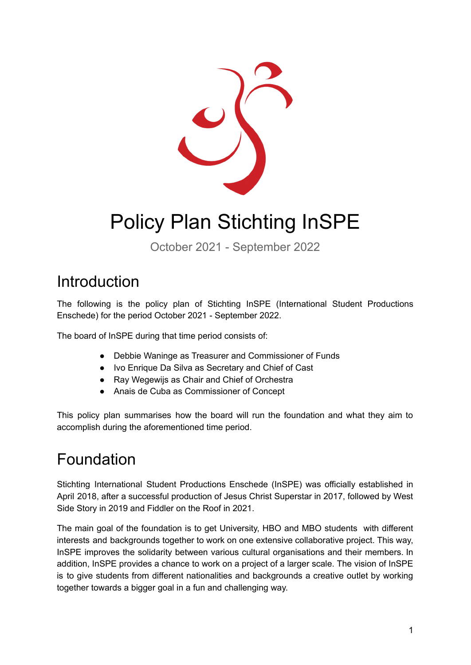

# Policy Plan Stichting InSPE

October 2021 - September 2022

### Introduction

The following is the policy plan of Stichting InSPE (International Student Productions Enschede) for the period October 2021 - September 2022.

The board of InSPE during that time period consists of:

- Debbie Waninge as Treasurer and Commissioner of Funds
- Ivo Enrique Da Silva as Secretary and Chief of Cast
- Ray Wegewijs as Chair and Chief of Orchestra
- Anais de Cuba as Commissioner of Concept

This policy plan summarises how the board will run the foundation and what they aim to accomplish during the aforementioned time period.

## Foundation

Stichting International Student Productions Enschede (InSPE) was officially established in April 2018, after a successful production of Jesus Christ Superstar in 2017, followed by West Side Story in 2019 and Fiddler on the Roof in 2021.

The main goal of the foundation is to get University, HBO and MBO students with different interests and backgrounds together to work on one extensive collaborative project. This way, InSPE improves the solidarity between various cultural organisations and their members. In addition, InSPE provides a chance to work on a project of a larger scale. The vision of InSPE is to give students from different nationalities and backgrounds a creative outlet by working together towards a bigger goal in a fun and challenging way.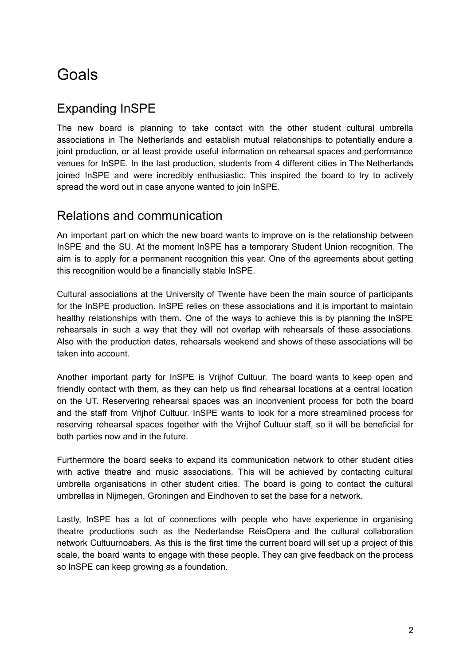# Goals

### Expanding InSPE

The new board is planning to take contact with the other student cultural umbrella associations in The Netherlands and establish mutual relationships to potentially endure a joint production, or at least provide useful information on rehearsal spaces and performance venues for InSPE. In the last production, students from 4 different cities in The Netherlands joined InSPE and were incredibly enthusiastic. This inspired the board to try to actively spread the word out in case anyone wanted to join InSPE.

#### Relations and communication

An important part on which the new board wants to improve on is the relationship between InSPE and the SU. At the moment InSPE has a temporary Student Union recognition. The aim is to apply for a permanent recognition this year. One of the agreements about getting this recognition would be a financially stable InSPE.

Cultural associations at the University of Twente have been the main source of participants for the InSPE production. InSPE relies on these associations and it is important to maintain healthy relationships with them. One of the ways to achieve this is by planning the InSPE rehearsals in such a way that they will not overlap with rehearsals of these associations. Also with the production dates, rehearsals weekend and shows of these associations will be taken into account.

Another important party for InSPE is Vrijhof Cultuur. The board wants to keep open and friendly contact with them, as they can help us find rehearsal locations at a central location on the UT. Reservering rehearsal spaces was an inconvenient process for both the board and the staff from Vrijhof Cultuur. InSPE wants to look for a more streamlined process for reserving rehearsal spaces together with the Vrijhof Cultuur staff, so it will be beneficial for both parties now and in the future.

Furthermore the board seeks to expand its communication network to other student cities with active theatre and music associations. This will be achieved by contacting cultural umbrella organisations in other student cities. The board is going to contact the cultural umbrellas in Nijmegen, Groningen and Eindhoven to set the base for a network.

Lastly, InSPE has a lot of connections with people who have experience in organising theatre productions such as the Nederlandse ReisOpera and the cultural collaboration network Cultuurnoabers. As this is the first time the current board will set up a project of this scale, the board wants to engage with these people. They can give feedback on the process so InSPE can keep growing as a foundation.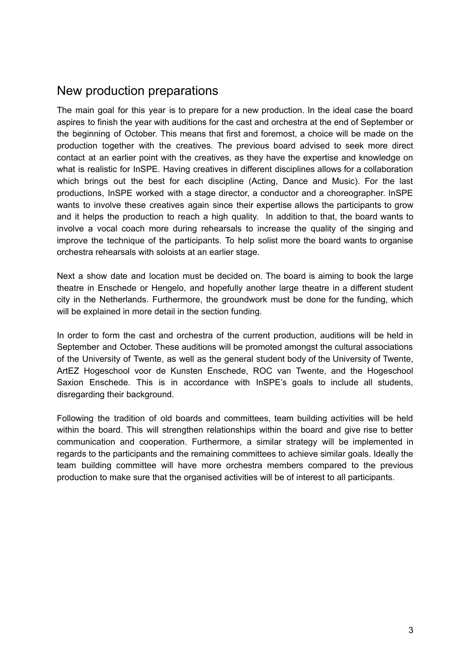#### New production preparations

The main goal for this year is to prepare for a new production. In the ideal case the board aspires to finish the year with auditions for the cast and orchestra at the end of September or the beginning of October. This means that first and foremost, a choice will be made on the production together with the creatives. The previous board advised to seek more direct contact at an earlier point with the creatives, as they have the expertise and knowledge on what is realistic for InSPE. Having creatives in different disciplines allows for a collaboration which brings out the best for each discipline (Acting, Dance and Music). For the last productions, InSPE worked with a stage director, a conductor and a choreographer. InSPE wants to involve these creatives again since their expertise allows the participants to grow and it helps the production to reach a high quality. In addition to that, the board wants to involve a vocal coach more during rehearsals to increase the quality of the singing and improve the technique of the participants. To help solist more the board wants to organise orchestra rehearsals with soloists at an earlier stage.

Next a show date and location must be decided on. The board is aiming to book the large theatre in Enschede or Hengelo, and hopefully another large theatre in a different student city in the Netherlands. Furthermore, the groundwork must be done for the funding, which will be explained in more detail in the section funding.

In order to form the cast and orchestra of the current production, auditions will be held in September and October. These auditions will be promoted amongst the cultural associations of the University of Twente, as well as the general student body of the University of Twente, ArtEZ Hogeschool voor de Kunsten Enschede, ROC van Twente, and the Hogeschool Saxion Enschede. This is in accordance with InSPE's goals to include all students, disregarding their background.

Following the tradition of old boards and committees, team building activities will be held within the board. This will strengthen relationships within the board and give rise to better communication and cooperation. Furthermore, a similar strategy will be implemented in regards to the participants and the remaining committees to achieve similar goals. Ideally the team building committee will have more orchestra members compared to the previous production to make sure that the organised activities will be of interest to all participants.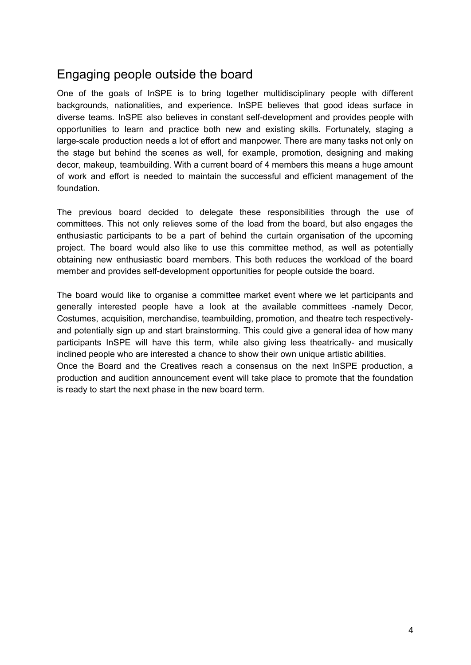#### Engaging people outside the board

One of the goals of InSPE is to bring together multidisciplinary people with different backgrounds, nationalities, and experience. InSPE believes that good ideas surface in diverse teams. InSPE also believes in constant self-development and provides people with opportunities to learn and practice both new and existing skills. Fortunately, staging a large-scale production needs a lot of effort and manpower. There are many tasks not only on the stage but behind the scenes as well, for example, promotion, designing and making decor, makeup, teambuilding. With a current board of 4 members this means a huge amount of work and effort is needed to maintain the successful and efficient management of the foundation.

The previous board decided to delegate these responsibilities through the use of committees. This not only relieves some of the load from the board, but also engages the enthusiastic participants to be a part of behind the curtain organisation of the upcoming project. The board would also like to use this committee method, as well as potentially obtaining new enthusiastic board members. This both reduces the workload of the board member and provides self-development opportunities for people outside the board.

The board would like to organise a committee market event where we let participants and generally interested people have a look at the available committees -namely Decor, Costumes, acquisition, merchandise, teambuilding, promotion, and theatre tech respectivelyand potentially sign up and start brainstorming. This could give a general idea of how many participants InSPE will have this term, while also giving less theatrically- and musically inclined people who are interested a chance to show their own unique artistic abilities. Once the Board and the Creatives reach a consensus on the next InSPE production, a production and audition announcement event will take place to promote that the foundation is ready to start the next phase in the new board term.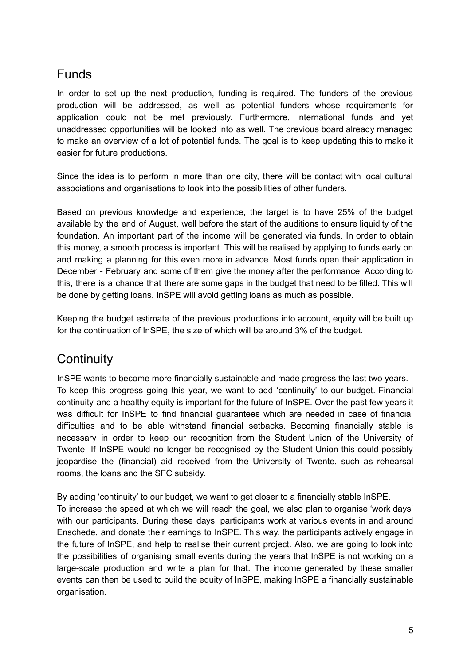#### Funds

In order to set up the next production, funding is required. The funders of the previous production will be addressed, as well as potential funders whose requirements for application could not be met previously. Furthermore, international funds and yet unaddressed opportunities will be looked into as well. The previous board already managed to make an overview of a lot of potential funds. The goal is to keep updating this to make it easier for future productions.

Since the idea is to perform in more than one city, there will be contact with local cultural associations and organisations to look into the possibilities of other funders.

Based on previous knowledge and experience, the target is to have 25% of the budget available by the end of August, well before the start of the auditions to ensure liquidity of the foundation. An important part of the income will be generated via funds. In order to obtain this money, a smooth process is important. This will be realised by applying to funds early on and making a planning for this even more in advance. Most funds open their application in December - February and some of them give the money after the performance. According to this, there is a chance that there are some gaps in the budget that need to be filled. This will be done by getting loans. InSPE will avoid getting loans as much as possible.

Keeping the budget estimate of the previous productions into account, equity will be built up for the continuation of InSPE, the size of which will be around 3% of the budget.

#### **Continuity**

InSPE wants to become more financially sustainable and made progress the last two years. To keep this progress going this year, we want to add 'continuity' to our budget. Financial continuity and a healthy equity is important for the future of InSPE. Over the past few years it was difficult for InSPE to find financial guarantees which are needed in case of financial difficulties and to be able withstand financial setbacks. Becoming financially stable is necessary in order to keep our recognition from the Student Union of the University of Twente. If InSPE would no longer be recognised by the Student Union this could possibly jeopardise the (financial) aid received from the University of Twente, such as rehearsal rooms, the loans and the SFC subsidy.

By adding 'continuity' to our budget, we want to get closer to a financially stable InSPE. To increase the speed at which we will reach the goal, we also plan to organise 'work days' with our participants. During these days, participants work at various events in and around Enschede, and donate their earnings to InSPE. This way, the participants actively engage in the future of InSPE, and help to realise their current project. Also, we are going to look into the possibilities of organising small events during the years that InSPE is not working on a large-scale production and write a plan for that. The income generated by these smaller events can then be used to build the equity of InSPE, making InSPE a financially sustainable organisation.